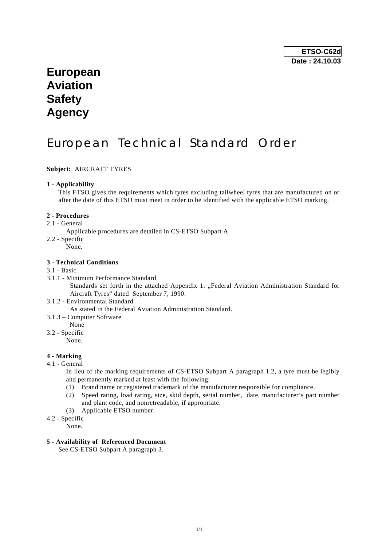## **European Aviation Safety Agency**

# European Technical Standard Order

**Subject:** AIRCRAFT TYRES

## **1 - Applicability**

 This ETSO gives the requirements which tyres excluding tailwheel tyres that are manufactured on or after the date of this ETSO must meet in order to be identified with the applicable ETSO marking.

## **2 - Procedures**

2.1 - General

Applicable procedures are detailed in CS-ETSO Subpart A.

- 2.2 Specific
	- None.

## **3 - Technical Conditions**

#### 3.1 - Basic

3.1.1 - Minimum Performance Standard

Standards set forth in the attached Appendix 1: "Federal Aviation Administration Standard for Aircraft Tyres" dated September 7, 1990.

- 3.1.2 Environmental Standard As stated in the Federal Aviation Administration Standard.
- 3.1.3 Computer Software
- None
- 3.2 Specific

None.

## **4 - Marking**

4.1 - General

 In lieu of the marking requirements of CS-ETSO Subpart A paragraph 1.2, a tyre must be legibly and permanently marked at least with the following:

- (1) Brand name or registered trademark of the manufacturer responsible for compliance.
- (2) Speed rating, load rating, size, skid depth, serial number, date, manufacturer's part number and plant code, and nonretreadable, if appropriate.
- (3) Applicable ETSO number.
- 4.2 Specific

None.

## **5 - Availability of Referenced Document**

See CS-ETSO Subpart A paragraph 3.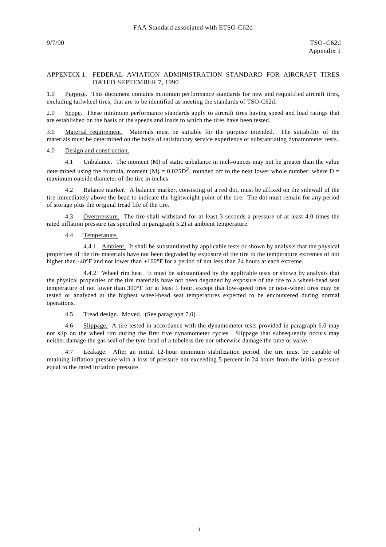#### APPENDIX 1. FEDERAL AVIATION ADMINISTRATION STANDARD FOR AIRCRAFT TIRES DATED SEPTEMBER 7, 1990

1.0 Purpose. This document contains minimum performance standards for new and requalified aircraft tires, excluding tailwheel tires, that are to be identified as meeting the standards of TSO-C62d.

2.0 Scope. These minimum performance standards apply to aircraft tires having speed and load ratings that are established on the basis of the speeds and loads to which the tires have been tested.

3.0 Material requirement. Materials must be suitable for the purpose intended. The suitability of the materials must be determined on the basis of satisfactory service experience or substantiating dynamometer tests.

#### 4.0 Design and construction.

 4.1 Unbalance. The moment (M) of static unbalance in inch-ounces may not be greater than the value determined using the formula, moment (M) =  $0.025D^2$ , rounded off to the next lower whole number: where D = maximum outside diameter of the tire in inches.

 4.2 Balance marker. A balance marker, consisting of a red dot, must be affixed on the sidewall of the tire immediately above the bead to indicate the lightweight point of the tire. The dot must remain for any period of storage plus the original tread life of the tire.

 4.3 Overpressure. The tire shall withstand for at least 3 seconds a pressure of at least 4.0 times the rated inflation pressure (as specified in paragraph 5.2) at ambient temperature.

#### 4.4 Temperature.

4.4.1 Ambient. It shall be substantiated by applicable tests or shown by analysis that the physical properties of the tire materials have not been degraded by exposure of the tire to the temperature extremes of not higher than -40°F and not lower than +160°F for a period of not less than 24 hours at each extreme.

 4.4.2 Wheel rim heat. It must be substantiated by the applicable tests or shown by analysis that the physical properties of the tire materials have not been degraded by exposure of the tire to a wheel-bead seat temperature of not lower than 300°F for at least 1 hour, except that low-speed tires or nose-wheel tires may be tested or analyzed at the highest wheel-bead seat temperatures expected to be encountered during normal operations.

#### 4.5 Tread design. Moved. (See paragraph 7.0)

 4.6 Slippage. A tire tested in accordance with the dynamometer tests provided in paragraph 6.0 may not slip on the wheel rim during the first five dynamometer cycles. Slippage that subsequently occurs may neither damage the gas seal of the tyre bead of a tubeless tire nor otherwise damage the tube or valve.

Leakage. After an initial 12-hour minimum stabilization period, the tire must be capable of retaining inflation pressure with a loss of pressure not exceeding 5 percent in 24 hours from the initial pressure equal to the rated inflation pressure.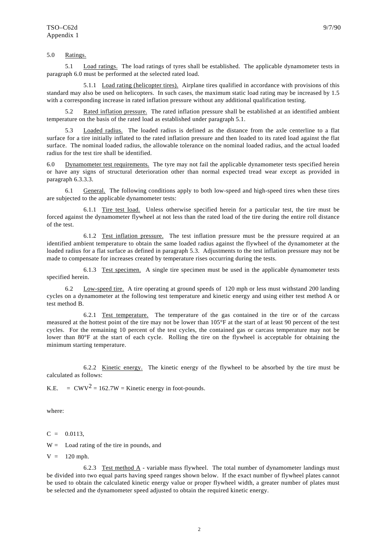## 5.0 Ratings.

 5.1 Load ratings. The load ratings of tyres shall be established. The applicable dynamometer tests in paragraph 6.0 must be performed at the selected rated load.

 5.1.1 Load rating (helicopter tires). Airplane tires qualified in accordance with provisions of this standard may also be used on helicopters. In such cases, the maximum static load rating may be increased by 1.5 with a corresponding increase in rated inflation pressure without any additional qualification testing.

 5.2 Rated inflation pressure. The rated inflation pressure shall be established at an identified ambient temperature on the basis of the rated load as established under paragraph 5.1.

Loaded radius. The loaded radius is defined as the distance from the axle centerline to a flat surface for a tire initially inflated to the rated inflation pressure and then loaded to its rated load against the flat surface. The nominal loaded radius, the allowable tolerance on the nominal loaded radius, and the actual loaded radius for the test tire shall be identified.

6.0 Dynamometer test requirements. The tyre may not fail the applicable dynamometer tests specified herein or have any signs of structural deterioration other than normal expected tread wear except as provided in paragraph 6.3.3.3.

 6.1 General. The following conditions apply to both low-speed and high-speed tires when these tires are subjected to the applicable dynamometer tests:

 6.1.1 Tire test load. Unless otherwise specified herein for a particular test, the tire must be forced against the dynamometer flywheel at not less than the rated load of the tire during the entire roll distance of the test.

 6.1.2 Test inflation pressure. The test inflation pressure must be the pressure required at an identified ambient temperature to obtain the same loaded radius against the flywheel of the dynamometer at the loaded radius for a flat surface as defined in paragraph 5.3. Adjustments to the test inflation pressure may not be made to compensate for increases created by temperature rises occurring during the tests.

 6.1.3 Test specimen. A single tire specimen must be used in the applicable dynamometer tests specified herein.

 6.2 Low-speed tire. A tire operating at ground speeds of 120 mph or less must withstand 200 landing cycles on a dynamometer at the following test temperature and kinetic energy and using either test method A or test method B.

 6.2.1 Test temperature. The temperature of the gas contained in the tire or of the carcass measured at the hottest point of the tire may not be lower than 105°F at the start of at least 90 percent of the test cycles. For the remaining 10 percent of the test cycles, the contained gas or carcass temperature may not be lower than 80°F at the start of each cycle. Rolling the tire on the flywheel is acceptable for obtaining the minimum starting temperature.

 6.2.2 Kinetic energy. The kinetic energy of the flywheel to be absorbed by the tire must be calculated as follows:

K.E. =  $CWV^2 = 162.7W =$ Kinetic energy in foot-pounds.

where:

 $C = 0.0113$ ,

 $W =$  Load rating of the tire in pounds, and

 $V = 120$  mph.

6.2.3 Test method  $\overline{A}$  - variable mass flywheel. The total number of dynamometer landings must be divided into two equal parts having speed ranges shown below. If the exact number of flywheel plates cannot be used to obtain the calculated kinetic energy value or proper flywheel width, a greater number of plates must be selected and the dynamometer speed adjusted to obtain the required kinetic energy.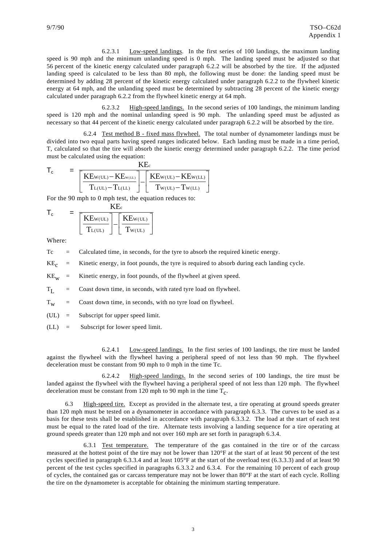6.2.3.1 Low-speed landings. In the first series of 100 landings, the maximum landing speed is 90 mph and the minimum unlanding speed is 0 mph. The landing speed must be adjusted so that 56 percent of the kinetic energy calculated under paragraph 6.2.2 will be absorbed by the tire. If the adjusted landing speed is calculated to be less than 80 mph, the following must be done: the landing speed must be determined by adding 28 percent of the kinetic energy calculated under paragraph 6.2.2 to the flywheel kinetic energy at 64 mph, and the unlanding speed must be determined by subtracting 28 percent of the kinetic energy calculated under paragraph 6.2.2 from the flywheel kinetic energy at 64 mph.

 6.2.3.2 High-speed landings. In the second series of 100 landings, the minimum landing speed is 120 mph and the nominal unlanding speed is 90 mph. The unlanding speed must be adjusted as necessary so that 44 percent of the kinetic energy calculated under paragraph 6.2.2 will be absorbed by the tire.

 6.2.4 Test method B - fixed mass flywheel. The total number of dynamometer landings must be divided into two equal parts having speed ranges indicated below. Each landing must be made in a time period, T, calculated so that the tire will absorb the kinetic energy determined under paragraph 6.2.2. The time period must be calculated using the equation:

$$
\mathsf{T}_{\mathrm{c}} \qquad = \quad \frac{\mathrm{KE}_{\mathrm{c}}}{\left[\frac{\mathrm{KE}_{\mathrm{W}(\mathrm{UL})}-\mathrm{KE}_{\mathrm{W}(\mathrm{LL})}}{\mathrm{T}_{\mathrm{L}(\mathrm{UL})}-\mathrm{T}_{\mathrm{L}(\mathrm{LL})}}\right] - \left[\frac{\mathrm{KE}_{\mathrm{W}(\mathrm{UL})}-\mathrm{KE}_{\mathrm{W}(\mathrm{LL})}}{\mathrm{T}_{\mathrm{W}(\mathrm{UL})}-\mathrm{T}_{\mathrm{W}(\mathrm{LL})}}\right]}
$$

For the 90 mph to 0 mph test, the equation reduces to:

$$
\boldsymbol{T}_c \qquad = \quad \underbrace{\begin{bmatrix} KE_{w(UL)} \\ T_{L(UL)} \end{bmatrix}}_{T_{L(UL)}} \begin{bmatrix} \underline{KE}_{w(UL)} \\ \underline{T}_{w(UL)} \end{bmatrix}
$$

Where:

Tc = Calculated time, in seconds, for the tyre to absorb the required kinetic energy.

 $KE<sub>c</sub>$  = Kinetic energy, in foot pounds, the tyre is required to absorb during each landing cycle.

 $KE<sub>w</sub>$  = Kinetic energy, in foot pounds, of the flywheel at given speed.

 $T_{I}$  = Coast down time, in seconds, with rated tyre load on flywheel.

 $T_w$  = Coast down time, in seconds, with no tyre load on flywheel.

- (UL) = Subscript for upper speed limit.
- $(LL) =$  Subscript for lower speed limit.

 6.2.4.1 Low-speed landings. In the first series of 100 landings, the tire must be landed against the flywheel with the flywheel having a peripheral speed of not less than 90 mph. The flywheel deceleration must be constant from 90 mph to 0 mph in the time Tc.

 6.2.4.2 High-speed landings. In the second series of 100 landings, the tire must be landed against the flywheel with the flywheel having a peripheral speed of not less than 120 mph. The flywheel deceleration must be constant from 120 mph to 90 mph in the time  $T_c$ .

High-speed tire. Except as provided in the alternate test, a tire operating at ground speeds greater than 120 mph must be tested on a dynamometer in accordance with paragraph 6.3.3. The curves to be used as a basis for these tests shall be established in accordance with paragraph 6.3.3.2. The load at the start of each test must be equal to the rated load of the tire. Alternate tests involving a landing sequence for a tire operating at ground speeds greater than 120 mph and not over 160 mph are set forth in paragraph 6.3.4.

 6.3.1 Test temperature. The temperature of the gas contained in the tire or of the carcass measured at the hottest point of the tire may not be lower than 120°F at the start of at least 90 percent of the test cycles specified in paragraph 6.3.3.4 and at least 105°F at the start of the overload test (6.3.3.3) and of at least 90 percent of the test cycles specified in paragraphs 6.3.3.2 and 6.3.4. For the remaining 10 percent of each group of cycles, the contained gas or carcass temperature may not be lower than 80°F at the start of each cycle. Rolling the tire on the dynamometer is acceptable for obtaining the minimum starting temperature.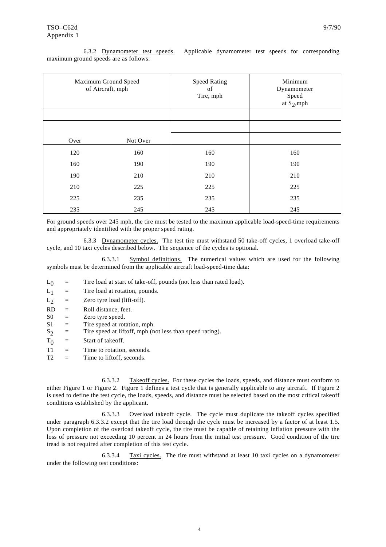| 6.3.2 Dynamometer test speeds. Applicable dynamometer test speeds for corresponding |  |  |  |
|-------------------------------------------------------------------------------------|--|--|--|
| maximum ground speeds are as follows:                                               |  |  |  |

| Maximum Ground Speed<br>of Aircraft, mph |          | <b>Speed Rating</b><br>of<br>Tire, mph | Minimum<br>Dynamometer<br>Speed<br>at $S_2$ , mph |  |
|------------------------------------------|----------|----------------------------------------|---------------------------------------------------|--|
|                                          |          |                                        |                                                   |  |
|                                          |          |                                        |                                                   |  |
| Over                                     | Not Over |                                        |                                                   |  |
| 120                                      | 160      | 160                                    | 160                                               |  |
| 160                                      | 190      | 190                                    | 190                                               |  |
| 190                                      | 210      | 210                                    | 210                                               |  |
| 210                                      | 225      | 225                                    | 225                                               |  |
| 225                                      | 235      | 235                                    | 235                                               |  |
| 235                                      | 245      | 245                                    | 245                                               |  |

For ground speeds over 245 mph, the tire must be tested to the maximun applicable load-speed-time requirements and appropriately identified with the proper speed rating.

 6.3.3 Dynamometer cycles. The test tire must withstand 50 take-off cycles, 1 overload take-off cycle, and 10 taxi cycles described below. The sequence of the cycles is optional.

 6.3.3.1 Symbol definitions. The numerical values which are used for the following symbols must be determined from the applicable aircraft load-speed-time data:

- $L_0$  = Tire load at start of take-off, pounds (not less than rated load).<br>  $L_1$  = Tire load at rotation, pounds.
- $=$  Tire load at rotation, pounds.

 $L_2$  = Zero tyre load (lift-off).

- $RD =$  Roll distance, feet.
- $S0 =$  Zero tyre speed.
- $S1 =$  Tire speed at rotation, mph.
- $S_2$  = Tire speed at liftoff, mph (not less than speed rating).
- $T_0$  = Start of takeoff.
- $T1 =$  Time to rotation, seconds.
- $T2 =$  Time to liftoff, seconds.

 6.3.3.2 Takeoff cycles. For these cycles the loads, speeds, and distance must conform to either Figure 1 or Figure 2. Figure 1 defines a test cycle that is generally applicable to any aircraft. If Figure 2 is used to define the test cycle, the loads, speeds, and distance must be selected based on the most critical takeoff conditions established by the applicant.

 6.3.3.3 Overload takeoff cycle. The cycle must duplicate the takeoff cycles specified under paragraph 6.3.3.2 except that the tire load through the cycle must be increased by a factor of at least 1.5. Upon completion of the overload takeoff cycle, the tire must be capable of retaining inflation pressure with the loss of pressure not exceeding 10 percent in 24 hours from the initial test pressure. Good condition of the tire tread is not required after completion of this test cycle.

 6.3.3.4 Taxi cycles. The tire must withstand at least 10 taxi cycles on a dynamometer under the following test conditions: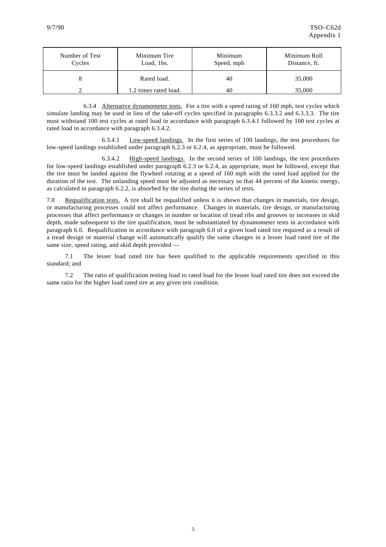| Number of Test<br>Cycles | Minimum Tire<br>Load, 1bs. | Minimum<br>Speed, mph | Minimum Roll<br>Distance, ft. |
|--------------------------|----------------------------|-----------------------|-------------------------------|
|                          | Rated load.                | 40                    | 35,000                        |
|                          | 1.2 times rated load.      | 40                    | 35,000                        |

 6.3.4 Alternative dynamometer tests. For a tire with a speed rating of 160 mph, test cycles which simulate landing may be used in lieu of the take-off cycles specified in paragraphs 6.3.3.2 and 6.3.3.3. The tire must withstand 100 test cycles at rated load in accordance with paragraph 6.3.4.1 followed by 100 test cycles at rated load in accordance with paragraph 6.3.4.2.

 6.3.4.1 Low-speed landings. In the first series of 100 landings, the test procedures for low-speed landings established under paragraph 6.2.3 or 6.2.4, as appropriate, must be followed.

 6.3.4.2 High-speed landings. In the second series of 100 landings, the test procedures for low-speed landings established under paragraph 6.2.3 or 6.2.4, as appropriate, must be followed, except that the tire must be landed against the flywheel rotating at a speed of 160 mph with the rated load applied for the duration of the test. The unlanding speed must be adjusted as necessary so that 44 percent of the kinetic energy, as calculated in paragraph 6.2.2, is absorbed by the tire during the series of tests.

7.0 Requalification tests. A tire shall be requalified unless it is shown that changes in materials, tire design, or manufacturing processes could not affect performance. Changes in materials, tire design, or manufacturing processes that affect performance or changes in number or location of tread ribs and grooves or increases in skid depth, made subsequent to the tire qualification, must be substantiated by dynamometer tests in accordance with paragraph 6.0. Requalification in accordance with paragraph 6.0 of a given load rated tire required as a result of a tread design or material change will automatically qualify the same changes in a lesser load rated tire of the same size, speed rating, and skid depth provided —

 7.1 The lesser load rated tire has been qualified to the applicable requirements specified in this standard; and

 7.2 The ratio of qualification testing load to rated load for the lesser load rated tire does not exceed the same ratio for the higher load rated tire at any given test condition.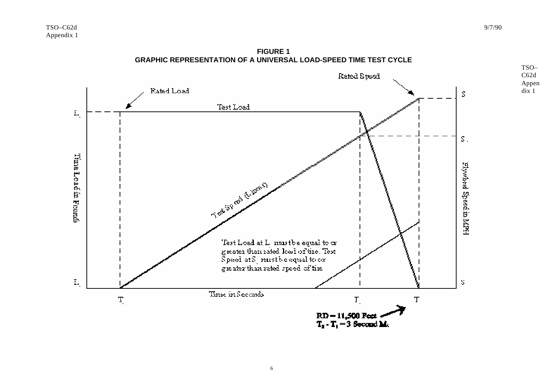

**FIGURE 1 GRAPHIC REPRESENTATION OF A UNIVERSAL LOAD-SPEED TIME TEST CYCLE** 

TSO– C62d Appen dix 1

6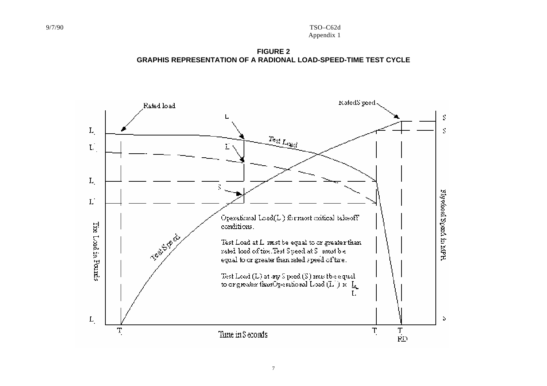**FIGURE 2 GRAPHIS REPRESENTATION OF A RADIONAL LOAD-SPEED-TIME TEST CYCLE**